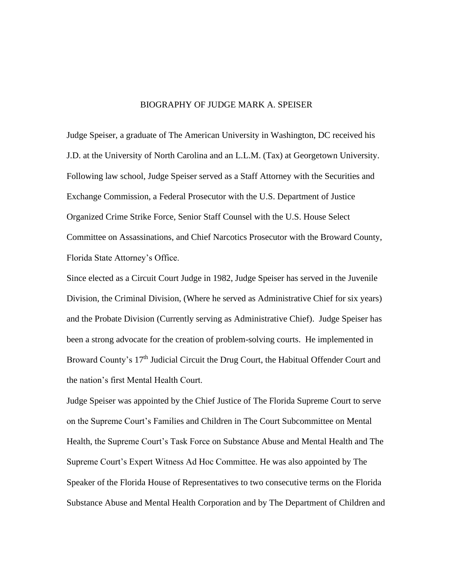## BIOGRAPHY OF JUDGE MARK A. SPEISER

Judge Speiser, a graduate of The American University in Washington, DC received his J.D. at the University of North Carolina and an L.L.M. (Tax) at Georgetown University. Following law school, Judge Speiser served as a Staff Attorney with the Securities and Exchange Commission, a Federal Prosecutor with the U.S. Department of Justice Organized Crime Strike Force, Senior Staff Counsel with the U.S. House Select Committee on Assassinations, and Chief Narcotics Prosecutor with the Broward County, Florida State Attorney's Office.

Since elected as a Circuit Court Judge in 1982, Judge Speiser has served in the Juvenile Division, the Criminal Division, (Where he served as Administrative Chief for six years) and the Probate Division (Currently serving as Administrative Chief). Judge Speiser has been a strong advocate for the creation of problem-solving courts. He implemented in Broward County's 17<sup>th</sup> Judicial Circuit the Drug Court, the Habitual Offender Court and the nation's first Mental Health Court.

Judge Speiser was appointed by the Chief Justice of The Florida Supreme Court to serve on the Supreme Court's Families and Children in The Court Subcommittee on Mental Health, the Supreme Court's Task Force on Substance Abuse and Mental Health and The Supreme Court's Expert Witness Ad Hoc Committee. He was also appointed by The Speaker of the Florida House of Representatives to two consecutive terms on the Florida Substance Abuse and Mental Health Corporation and by The Department of Children and